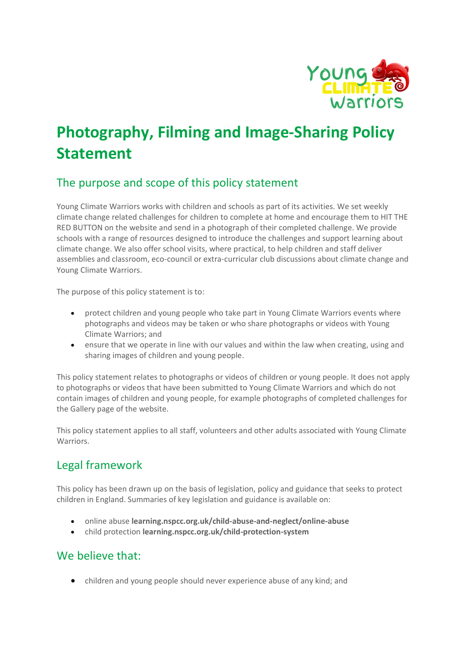

# **Photography, Filming and Image-Sharing Policy Statement**

# The purpose and scope of this policy statement

Young Climate Warriors works with children and schools as part of its activities. We set weekly climate change related challenges for children to complete at home and encourage them to HIT THE RED BUTTON on the website and send in a photograph of their completed challenge. We provide schools with a range of resources designed to introduce the challenges and support learning about climate change. We also offer school visits, where practical, to help children and staff deliver assemblies and classroom, eco-council or extra-curricular club discussions about climate change and Young Climate Warriors.

The purpose of this policy statement is to:

- protect children and young people who take part in Young Climate Warriors events where photographs and videos may be taken or who share photographs or videos with Young Climate Warriors; and
- ensure that we operate in line with our values and within the law when creating, using and sharing images of children and young people.

This policy statement relates to photographs or videos of children or young people. It does not apply to photographs or videos that have been submitted to Young Climate Warriors and which do not contain images of children and young people, for example photographs of completed challenges for the Gallery page of the website.

This policy statement applies to all staff, volunteers and other adults associated with Young Climate Warriors.

# Legal framework

This policy has been drawn up on the basis of legislation, policy and guidance that seeks to protect children in England. Summaries of key legislation and guidance is available on:

- online abuse **learning.nspcc.org.uk/child-abuse-and-neglect/online-abuse**
- child protection **learning.nspcc.org.uk/child-protection-system**

### We believe that:

• children and young people should never experience abuse of any kind; and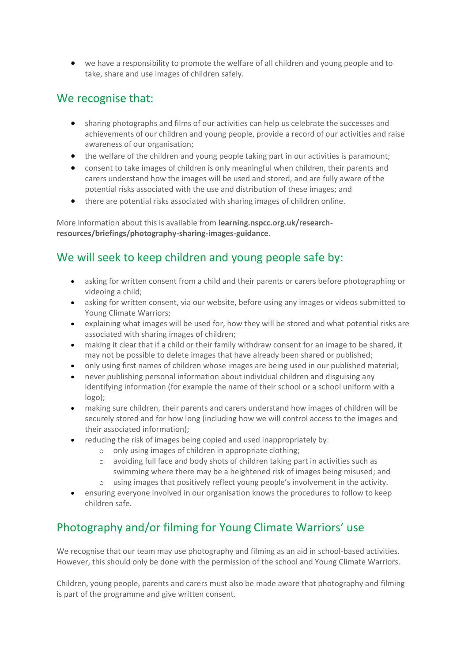• we have a responsibility to promote the welfare of all children and young people and to take, share and use images of children safely.

### We recognise that:

- sharing photographs and films of our activities can help us celebrate the successes and achievements of our children and young people, provide a record of our activities and raise awareness of our organisation;
- the welfare of the children and young people taking part in our activities is paramount;
- consent to take images of children is only meaningful when children, their parents and carers understand how the images will be used and stored, and are fully aware of the potential risks associated with the use and distribution of these images; and
- there are potential risks associated with sharing images of children online.

More information about this is available from **learning.nspcc.org.uk/researchresources/briefings/photography-sharing-images-guidance**.

# We will seek to keep children and young people safe by:

- asking for written consent from a child and their parents or carers before photographing or videoing a child;
- asking for written consent, via our website, before using any images or videos submitted to Young Climate Warriors;
- explaining what images will be used for, how they will be stored and what potential risks are associated with sharing images of children;
- making it clear that if a child or their family withdraw consent for an image to be shared, it may not be possible to delete images that have already been shared or published;
- only using first names of children whose images are being used in our published material;
- never publishing personal information about individual children and disguising any identifying information (for example the name of their school or a school uniform with a logo);
- making sure children, their parents and carers understand how images of children will be securely stored and for how long (including how we will control access to the images and their associated information);
- reducing the risk of images being copied and used inappropriately by:
	- o only using images of children in appropriate clothing;
	- o avoiding full face and body shots of children taking part in activities such as swimming where there may be a heightened risk of images being misused; and
	- o using images that positively reflect young people's involvement in the activity.
- ensuring everyone involved in our organisation knows the procedures to follow to keep children safe.

# Photography and/or filming for Young Climate Warriors' use

We recognise that our team may use photography and filming as an aid in school-based activities. However, this should only be done with the permission of the school and Young Climate Warriors.

Children, young people, parents and carers must also be made aware that photography and filming is part of the programme and give written consent.